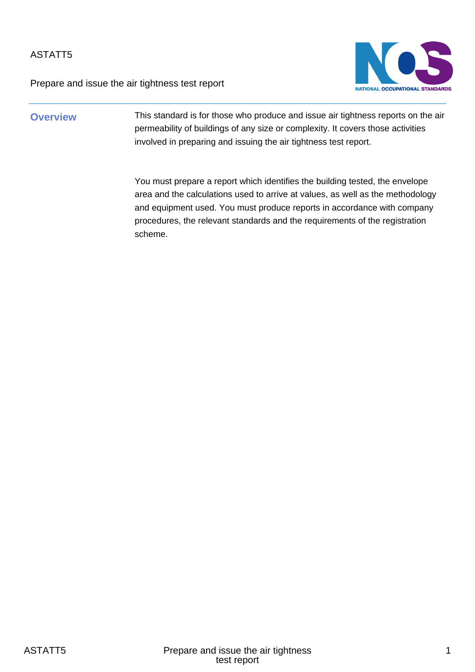Prepare and issue the air tightness test report



### **Overview** This standard is for those who produce and issue air tightness reports on the air permeability of buildings of any size or complexity. It covers those activities involved in preparing and issuing the air tightness test report.

You must prepare a report which identifies the building tested, the envelope area and the calculations used to arrive at values, as well as the methodology and equipment used. You must produce reports in accordance with company procedures, the relevant standards and the requirements of the registration scheme.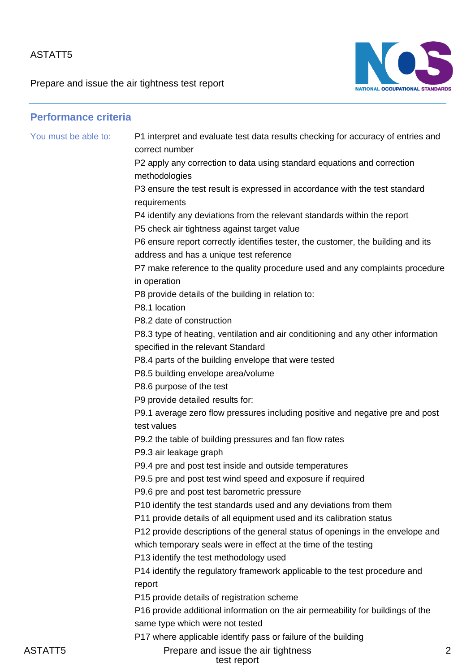Prepare and issue the air tightness test report



| <b>Performance criteria</b> |                                                                                                                        |
|-----------------------------|------------------------------------------------------------------------------------------------------------------------|
| You must be able to:        | P1 interpret and evaluate test data results checking for accuracy of entries and<br>correct number                     |
|                             | P2 apply any correction to data using standard equations and correction                                                |
|                             | methodologies                                                                                                          |
|                             | P3 ensure the test result is expressed in accordance with the test standard<br>requirements                            |
|                             | P4 identify any deviations from the relevant standards within the report                                               |
|                             | P5 check air tightness against target value                                                                            |
|                             | P6 ensure report correctly identifies tester, the customer, the building and its                                       |
|                             | address and has a unique test reference                                                                                |
|                             | P7 make reference to the quality procedure used and any complaints procedure<br>in operation                           |
|                             | P8 provide details of the building in relation to:<br>P8.1 location                                                    |
|                             | P8.2 date of construction                                                                                              |
|                             | P8.3 type of heating, ventilation and air conditioning and any other information<br>specified in the relevant Standard |
|                             | P8.4 parts of the building envelope that were tested                                                                   |
|                             | P8.5 building envelope area/volume                                                                                     |
|                             | P8.6 purpose of the test                                                                                               |
|                             | P9 provide detailed results for:                                                                                       |
|                             | P9.1 average zero flow pressures including positive and negative pre and post<br>test values                           |
|                             | P9.2 the table of building pressures and fan flow rates                                                                |
|                             | P9.3 air leakage graph                                                                                                 |
|                             | P9.4 pre and post test inside and outside temperatures                                                                 |
|                             | P9.5 pre and post test wind speed and exposure if required                                                             |
|                             | P9.6 pre and post test barometric pressure                                                                             |
|                             | P10 identify the test standards used and any deviations from them                                                      |
|                             | P11 provide details of all equipment used and its calibration status                                                   |
|                             | P12 provide descriptions of the general status of openings in the envelope and                                         |
|                             | which temporary seals were in effect at the time of the testing                                                        |
|                             | P13 identify the test methodology used                                                                                 |
|                             | P14 identify the regulatory framework applicable to the test procedure and<br>report                                   |
|                             | P15 provide details of registration scheme                                                                             |
|                             | P16 provide additional information on the air permeability for buildings of the                                        |
|                             | same type which were not tested                                                                                        |
|                             | P17 where applicable identify pass or failure of the building                                                          |

ASTATT5 Prepare and issue the air tightness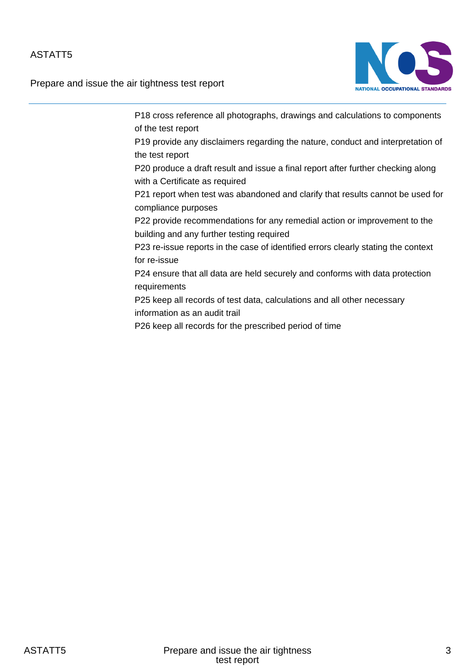Prepare and issue the air tightness test report



P18 cross reference all photographs, drawings and calculations to components of the test report P19 provide any disclaimers regarding the nature, conduct and interpretation of the test report P20 produce a draft result and issue a final report after further checking along with a Certificate as required P21 report when test was abandoned and clarify that results cannot be used for compliance purposes P22 provide recommendations for any remedial action or improvement to the building and any further testing required P23 re-issue reports in the case of identified errors clearly stating the context for re-issue P24 ensure that all data are held securely and conforms with data protection requirements P25 keep all records of test data, calculations and all other necessary information as an audit trail P26 keep all records for the prescribed period of time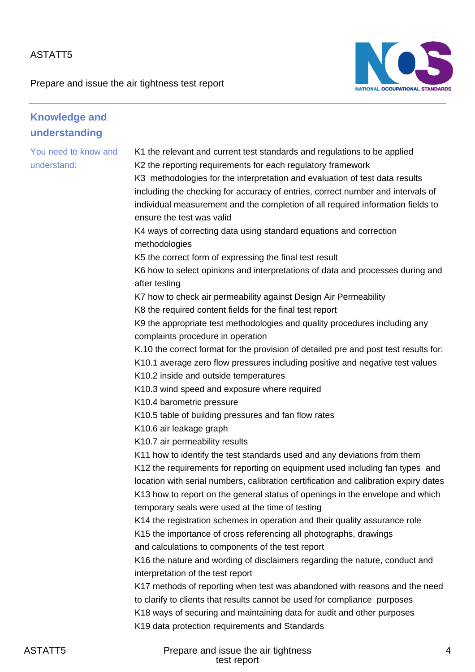Prepare and issue the air tightness test report



| <b>Knowledge and</b>                |                                                                                                                                                                                                                                                                                                                                                                                                                                                                                                                                                                                                                                                                                                                                                                                                                                                                                                                                                                                                                                                                                                                                                                                                                                                                                                                                                                                                                                   |
|-------------------------------------|-----------------------------------------------------------------------------------------------------------------------------------------------------------------------------------------------------------------------------------------------------------------------------------------------------------------------------------------------------------------------------------------------------------------------------------------------------------------------------------------------------------------------------------------------------------------------------------------------------------------------------------------------------------------------------------------------------------------------------------------------------------------------------------------------------------------------------------------------------------------------------------------------------------------------------------------------------------------------------------------------------------------------------------------------------------------------------------------------------------------------------------------------------------------------------------------------------------------------------------------------------------------------------------------------------------------------------------------------------------------------------------------------------------------------------------|
| understanding                       |                                                                                                                                                                                                                                                                                                                                                                                                                                                                                                                                                                                                                                                                                                                                                                                                                                                                                                                                                                                                                                                                                                                                                                                                                                                                                                                                                                                                                                   |
| You need to know and<br>understand: | K1 the relevant and current test standards and regulations to be applied<br>K2 the reporting requirements for each regulatory framework<br>K3 methodologies for the interpretation and evaluation of test data results<br>including the checking for accuracy of entries, correct number and intervals of<br>individual measurement and the completion of all required information fields to<br>ensure the test was valid<br>K4 ways of correcting data using standard equations and correction<br>methodologies<br>K5 the correct form of expressing the final test result<br>K6 how to select opinions and interpretations of data and processes during and<br>after testing<br>K7 how to check air permeability against Design Air Permeability<br>K8 the required content fields for the final test report<br>K9 the appropriate test methodologies and quality procedures including any<br>complaints procedure in operation<br>K.10 the correct format for the provision of detailed pre and post test results for:<br>K10.1 average zero flow pressures including positive and negative test values<br>K10.2 inside and outside temperatures<br>K10.3 wind speed and exposure where required<br>K10.4 barometric pressure<br>K10.5 table of building pressures and fan flow rates<br>K10.6 air leakage graph<br>K10.7 air permeability results<br>K11 how to identify the test standards used and any deviations from them |
|                                     | K12 the requirements for reporting on equipment used including fan types and<br>location with serial numbers, calibration certification and calibration expiry dates<br>K13 how to report on the general status of openings in the envelope and which<br>temporary seals were used at the time of testing                                                                                                                                                                                                                                                                                                                                                                                                                                                                                                                                                                                                                                                                                                                                                                                                                                                                                                                                                                                                                                                                                                                         |
|                                     | K14 the registration schemes in operation and their quality assurance role<br>K15 the importance of cross referencing all photographs, drawings<br>and calculations to components of the test report<br>K16 the nature and wording of disclaimers regarding the nature, conduct and                                                                                                                                                                                                                                                                                                                                                                                                                                                                                                                                                                                                                                                                                                                                                                                                                                                                                                                                                                                                                                                                                                                                               |
|                                     | interpretation of the test report<br>K17 methods of reporting when test was abandoned with reasons and the need<br>to clarify to clients that results cannot be used for compliance purposes<br>K18 ways of securing and maintaining data for audit and other purposes<br>K19 data protection requirements and Standards                                                                                                                                                                                                                                                                                                                                                                                                                                                                                                                                                                                                                                                                                                                                                                                                                                                                                                                                                                                                                                                                                                          |

ASTATT5 Prepare and issue the air tightness test report